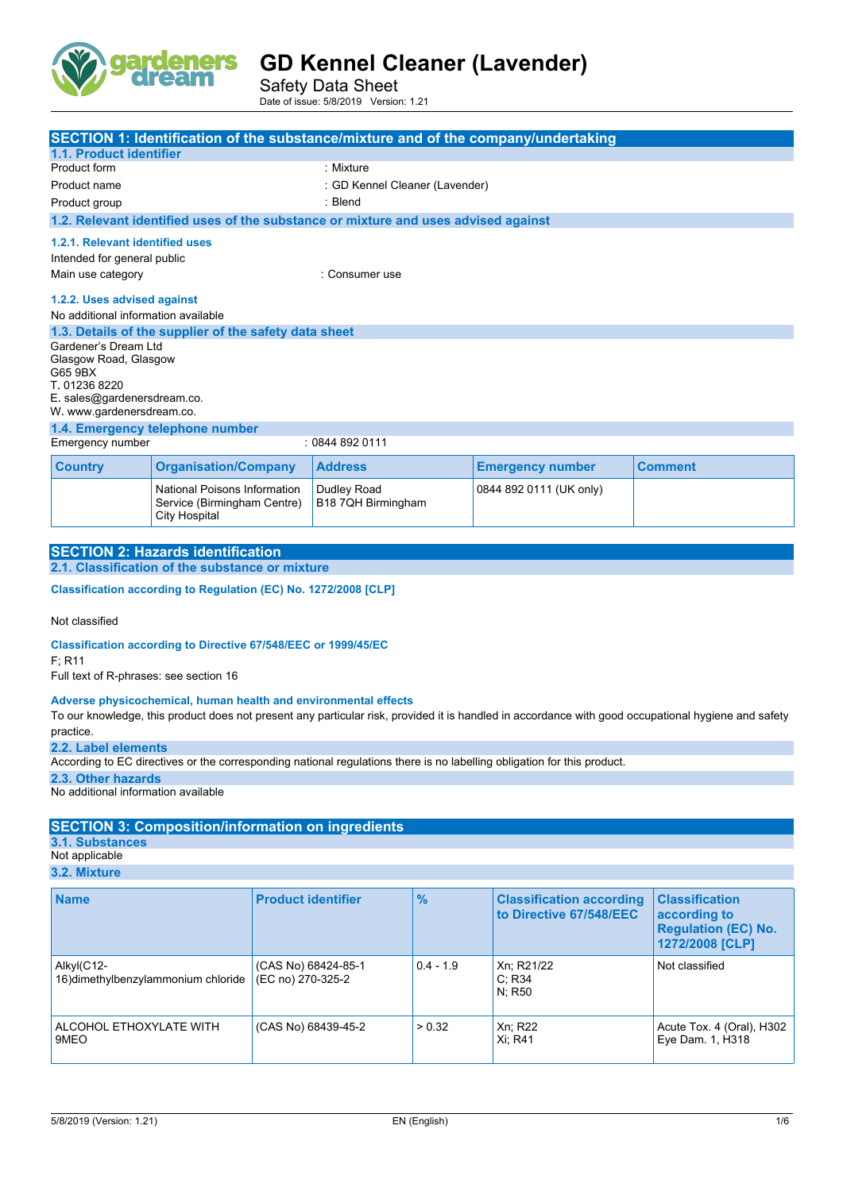

Safety Data Sheet Date of issue: 5/8/2019 Version: 1.21

| <b>SECTION 1: Identification of the substance/mixture and of the company/undertaking</b><br>1.1. Product identifier |                                                                                     |                                                                                    |                         |                |
|---------------------------------------------------------------------------------------------------------------------|-------------------------------------------------------------------------------------|------------------------------------------------------------------------------------|-------------------------|----------------|
| Product form                                                                                                        |                                                                                     | : Mixture                                                                          |                         |                |
| Product name                                                                                                        |                                                                                     | : GD Kennel Cleaner (Lavender)                                                     |                         |                |
| Product group                                                                                                       |                                                                                     | : Blend                                                                            |                         |                |
|                                                                                                                     |                                                                                     | 1.2. Relevant identified uses of the substance or mixture and uses advised against |                         |                |
| 1.2.1. Relevant identified uses<br>Intended for general public                                                      |                                                                                     |                                                                                    |                         |                |
| Main use category<br>: Consumer use                                                                                 |                                                                                     |                                                                                    |                         |                |
| 1.2.2. Uses advised against<br>No additional information available                                                  |                                                                                     |                                                                                    |                         |                |
|                                                                                                                     | 1.3. Details of the supplier of the safety data sheet                               |                                                                                    |                         |                |
| Gardener's Dream Ltd<br>Glasgow Road, Glasgow<br>G65 9BX<br>T. 01236 8220<br>E. sales@gardenersdream.co.            |                                                                                     |                                                                                    |                         |                |
| W. www.gardenersdream.co.                                                                                           |                                                                                     |                                                                                    |                         |                |
| 1.4. Emergency telephone number<br>: 08448920111                                                                    |                                                                                     |                                                                                    |                         |                |
| Emergency number                                                                                                    |                                                                                     |                                                                                    |                         |                |
| <b>Country</b>                                                                                                      | <b>Organisation/Company</b>                                                         | <b>Address</b>                                                                     | <b>Emergency number</b> | <b>Comment</b> |
|                                                                                                                     | National Poisons Information<br>Service (Birmingham Centre)<br><b>City Hospital</b> | Dudley Road<br>B18 7QH Birmingham                                                  | 0844 892 0111 (UK only) |                |

| <b>SECTION 2: Hazards identification</b>        |
|-------------------------------------------------|
| 2.1. Classification of the substance or mixture |
|                                                 |

**Classification according to Regulation (EC) No. 1272/2008 [CLP]** 

Not classified

**Classification according to Directive 67/548/EEC or 1999/45/EC**

F; R11

Full text of R-phrases: see section 16

#### **Adverse physicochemical, human health and environmental effects**

To our knowledge, this product does not present any particular risk, provided it is handled in accordance with good occupational hygiene and safety practice.

**2.2. Label elements**

According to EC directives or the corresponding national regulations there is no labelling obligation for this product.

**2.3. Other hazards**

No additional information available

#### **SECTION 3: Composition/information on ingredients**

**3.1. Substances**

Not applicable **3.2. Mixture**

| <b>Name</b>                                       | <b>Product identifier</b>                | $\frac{9}{6}$ | <b>Classification according</b><br>to Directive 67/548/EEC | <b>Classification</b><br>according to<br><b>Regulation (EC) No.</b><br>1272/2008 [CLP] |
|---------------------------------------------------|------------------------------------------|---------------|------------------------------------------------------------|----------------------------------------------------------------------------------------|
| Alkyl(C12-<br>16) dimethylbenzylammonium chloride | (CAS No) 68424-85-1<br>(EC no) 270-325-2 | $0.4 - 1.9$   | Xn: R21/22<br>C: R34<br>N: R50                             | Not classified                                                                         |
| ALCOHOL ETHOXYLATE WITH<br>9MEO                   | (CAS No) 68439-45-2                      | > 0.32        | Xn; R22<br>Xi: R41                                         | Acute Tox. 4 (Oral), H302<br>Eye Dam. 1, H318                                          |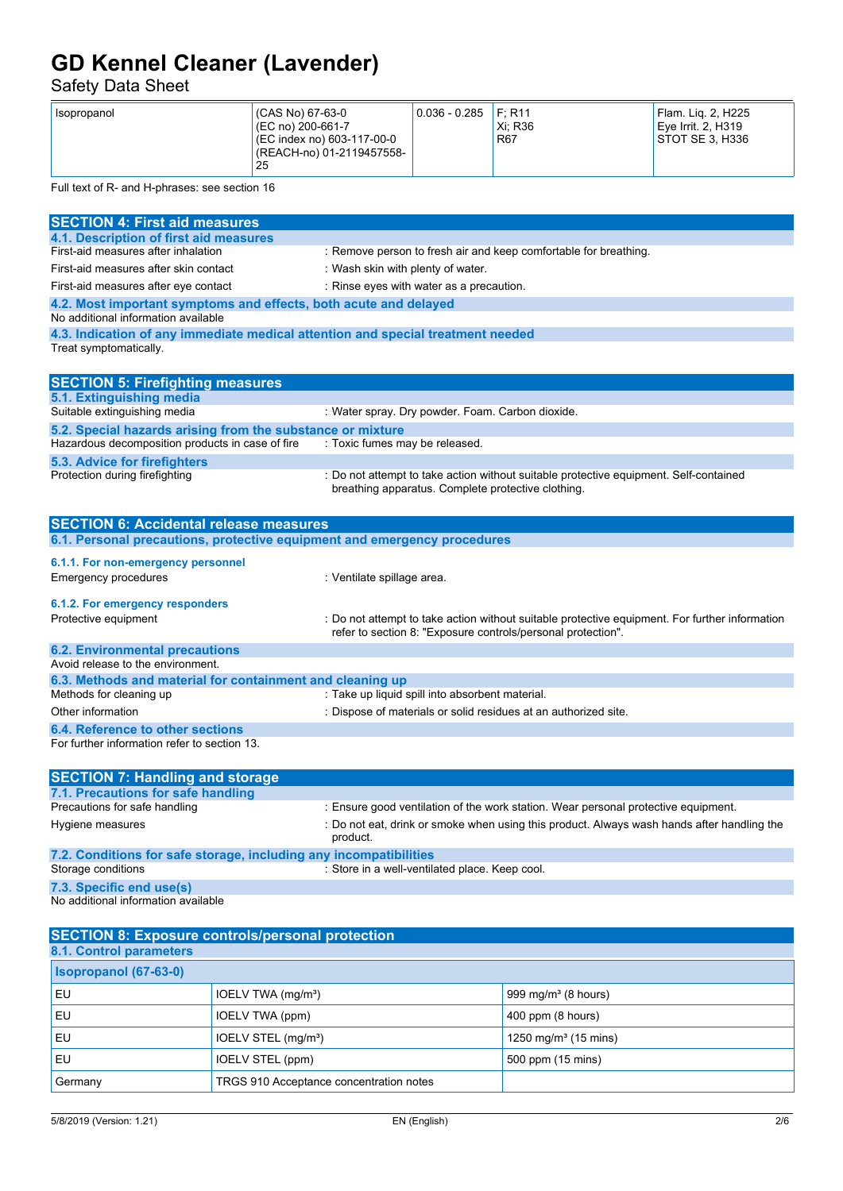#### Safety Data Sheet

| (CAS No) 67-63-0<br>Isopropanol<br>(EC no) 200-661-7<br>(EC index no) 603-117-00-0<br>(REACH-no) 01-2119457558-<br>25 | $0.036 - 0.285$ | F: R11<br>Xi: R36<br><b>R67</b> | Flam. Lig. 2. H225<br>Eve Irrit, 2, H319<br>STOT SE 3. H336 |
|-----------------------------------------------------------------------------------------------------------------------|-----------------|---------------------------------|-------------------------------------------------------------|
|-----------------------------------------------------------------------------------------------------------------------|-----------------|---------------------------------|-------------------------------------------------------------|

Full text of R- and H-phrases: see section 16

| <b>SECTION 4: First aid measures</b>                                                                    |                                                                                                                                                                |
|---------------------------------------------------------------------------------------------------------|----------------------------------------------------------------------------------------------------------------------------------------------------------------|
| 4.1. Description of first aid measures                                                                  |                                                                                                                                                                |
| First-aid measures after inhalation                                                                     | : Remove person to fresh air and keep comfortable for breathing.                                                                                               |
| First-aid measures after skin contact                                                                   | : Wash skin with plenty of water.                                                                                                                              |
| First-aid measures after eye contact                                                                    | : Rinse eyes with water as a precaution.                                                                                                                       |
| 4.2. Most important symptoms and effects, both acute and delayed<br>No additional information available |                                                                                                                                                                |
| 4.3. Indication of any immediate medical attention and special treatment needed                         |                                                                                                                                                                |
| Treat symptomatically.                                                                                  |                                                                                                                                                                |
| <b>SECTION 5: Firefighting measures</b>                                                                 |                                                                                                                                                                |
| 5.1. Extinguishing media                                                                                |                                                                                                                                                                |
| Suitable extinguishing media                                                                            | : Water spray. Dry powder. Foam. Carbon dioxide.                                                                                                               |
| 5.2. Special hazards arising from the substance or mixture                                              |                                                                                                                                                                |
| Hazardous decomposition products in case of fire                                                        | : Toxic fumes may be released.                                                                                                                                 |
| <b>5.3. Advice for firefighters</b>                                                                     |                                                                                                                                                                |
| Protection during firefighting                                                                          | : Do not attempt to take action without suitable protective equipment. Self-contained<br>breathing apparatus. Complete protective clothing.                    |
| <b>SECTION 6: Accidental release measures</b>                                                           |                                                                                                                                                                |
| 6.1. Personal precautions, protective equipment and emergency procedures                                |                                                                                                                                                                |
| 6.1.1. For non-emergency personnel                                                                      |                                                                                                                                                                |
| <b>Emergency procedures</b>                                                                             | : Ventilate spillage area.                                                                                                                                     |
| 6.1.2. For emergency responders                                                                         |                                                                                                                                                                |
| Protective equipment                                                                                    | : Do not attempt to take action without suitable protective equipment. For further information<br>refer to section 8: "Exposure controls/personal protection". |
| <b>6.2. Environmental precautions</b>                                                                   |                                                                                                                                                                |
| Avoid release to the environment.                                                                       |                                                                                                                                                                |
| 6.3. Methods and material for containment and cleaning up                                               |                                                                                                                                                                |
| Methods for cleaning up                                                                                 | : Take up liquid spill into absorbent material.                                                                                                                |
| Other information                                                                                       | : Dispose of materials or solid residues at an authorized site.                                                                                                |
| 6.4. Reference to other sections                                                                        |                                                                                                                                                                |
| For further information refer to section 13.                                                            |                                                                                                                                                                |
| <b>SECTION 7: Handling and storage</b>                                                                  |                                                                                                                                                                |
| 7.1. Precautions for safe handling                                                                      |                                                                                                                                                                |
| Precautions for safe handling                                                                           | : Ensure good ventilation of the work station. Wear personal protective equipment.                                                                             |
| Hygiene measures                                                                                        | : Do not eat, drink or smoke when using this product. Always wash hands after handling the<br>product.                                                         |
| 7.2. Conditions for safe storage, including any incompatibilities                                       |                                                                                                                                                                |
| Storage conditions                                                                                      | : Store in a well-ventilated place. Keep cool.                                                                                                                 |
| 7.3. Specific end use(s)                                                                                |                                                                                                                                                                |
| No additional information available                                                                     |                                                                                                                                                                |
|                                                                                                         |                                                                                                                                                                |

| <b>SECTION 8: Exposure controls/personal protection</b> |                                         |                                  |  |
|---------------------------------------------------------|-----------------------------------------|----------------------------------|--|
| <b>8.1. Control parameters</b>                          |                                         |                                  |  |
| <b>Isopropanol (67-63-0)</b>                            |                                         |                                  |  |
| EU                                                      | IOELV TWA (mg/m <sup>3</sup> )          | 999 mg/m $3$ (8 hours)           |  |
| EU                                                      | IOELV TWA (ppm)                         | 400 ppm (8 hours)                |  |
| EU                                                      | IOELV STEL (mg/m <sup>3</sup> )         | 1250 mg/m <sup>3</sup> (15 mins) |  |
| EU                                                      | IOELV STEL (ppm)                        | 500 ppm (15 mins)                |  |
| Germany                                                 | TRGS 910 Acceptance concentration notes |                                  |  |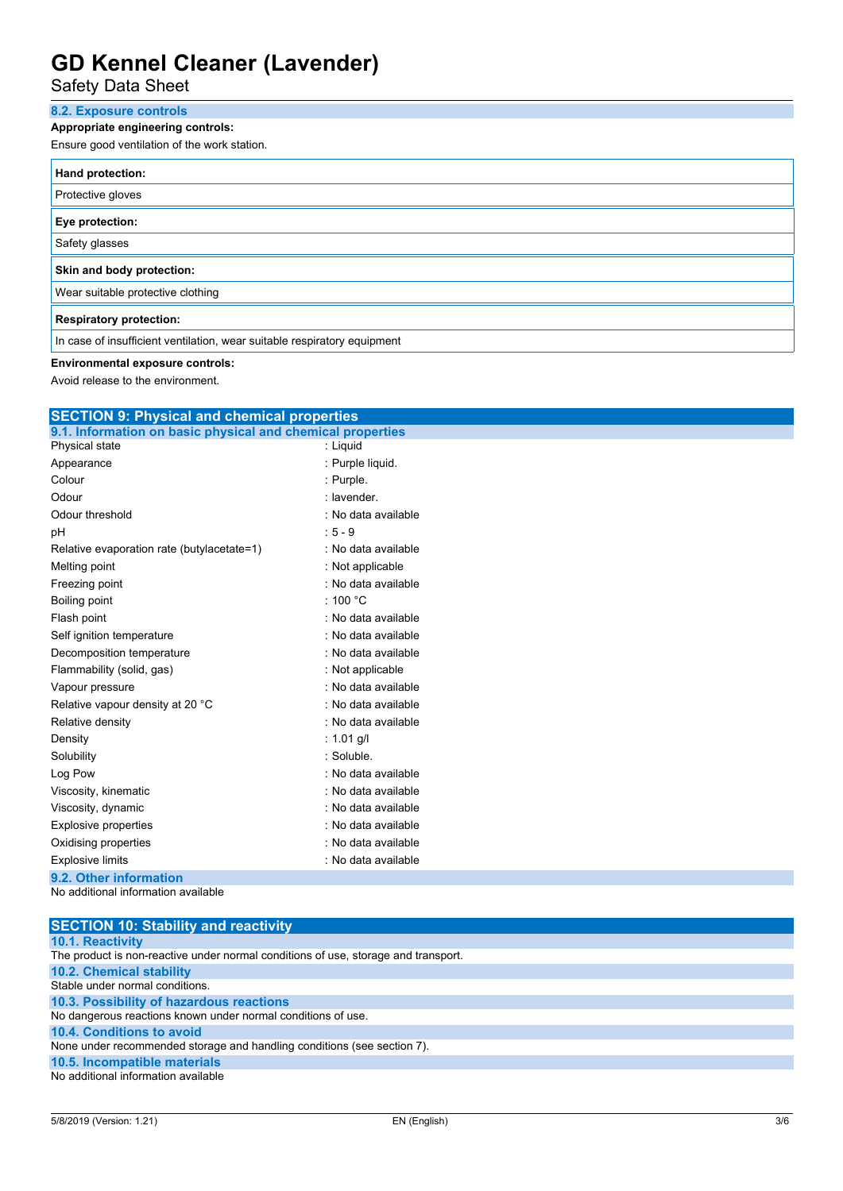Safety Data Sheet

### **8.2. Exposure controls**

**Appropriate engineering controls:**

Ensure good ventilation of the work station.

| Hand protection:                                                         |  |  |
|--------------------------------------------------------------------------|--|--|
| Protective gloves                                                        |  |  |
| Eye protection:                                                          |  |  |
| Safety glasses                                                           |  |  |
| Skin and body protection:                                                |  |  |
| Wear suitable protective clothing                                        |  |  |
| <b>Respiratory protection:</b>                                           |  |  |
| In case of insufficient ventilation, wear suitable respiratory equipment |  |  |

#### **Environmental exposure controls:**

Avoid release to the environment.

| <b>SECTION 9: Physical and chemical properties</b>         |                     |  |  |
|------------------------------------------------------------|---------------------|--|--|
| 9.1. Information on basic physical and chemical properties |                     |  |  |
| Physical state                                             | : Liquid            |  |  |
| Appearance                                                 | : Purple liquid.    |  |  |
| Colour                                                     | : Purple.           |  |  |
| Odour                                                      | : lavender.         |  |  |
| Odour threshold                                            | : No data available |  |  |
| pH                                                         | $: 5 - 9$           |  |  |
| Relative evaporation rate (butylacetate=1)                 | : No data available |  |  |
| Melting point                                              | : Not applicable    |  |  |
| Freezing point                                             | : No data available |  |  |
| Boiling point                                              | : 100 $^{\circ}$ C  |  |  |
| Flash point                                                | : No data available |  |  |
| Self ignition temperature                                  | : No data available |  |  |
| Decomposition temperature                                  | : No data available |  |  |
| Flammability (solid, gas)                                  | : Not applicable    |  |  |
| Vapour pressure                                            | : No data available |  |  |
| Relative vapour density at 20 °C                           | : No data available |  |  |
| Relative density                                           | : No data available |  |  |
| Density                                                    | : $1.01$ g/l        |  |  |
| Solubility                                                 | : Soluble.          |  |  |
| Log Pow                                                    | : No data available |  |  |
| Viscosity, kinematic                                       | : No data available |  |  |
| Viscosity, dynamic                                         | : No data available |  |  |
| <b>Explosive properties</b>                                | : No data available |  |  |
| Oxidising properties                                       | : No data available |  |  |
| <b>Explosive limits</b>                                    | : No data available |  |  |
| 9.2. Other information                                     |                     |  |  |
| No additional information available                        |                     |  |  |

| <b>SECTION 10: Stability and reactivity</b>                                        |
|------------------------------------------------------------------------------------|
| <b>10.1. Reactivity</b>                                                            |
| The product is non-reactive under normal conditions of use, storage and transport. |
| <b>10.2. Chemical stability</b>                                                    |
| Stable under normal conditions.                                                    |
| 10.3. Possibility of hazardous reactions                                           |
| No dangerous reactions known under normal conditions of use.                       |
| <b>10.4. Conditions to avoid</b>                                                   |
| None under recommended storage and handling conditions (see section 7).            |
| 10.5. Incompatible materials                                                       |
| No additional information available                                                |
|                                                                                    |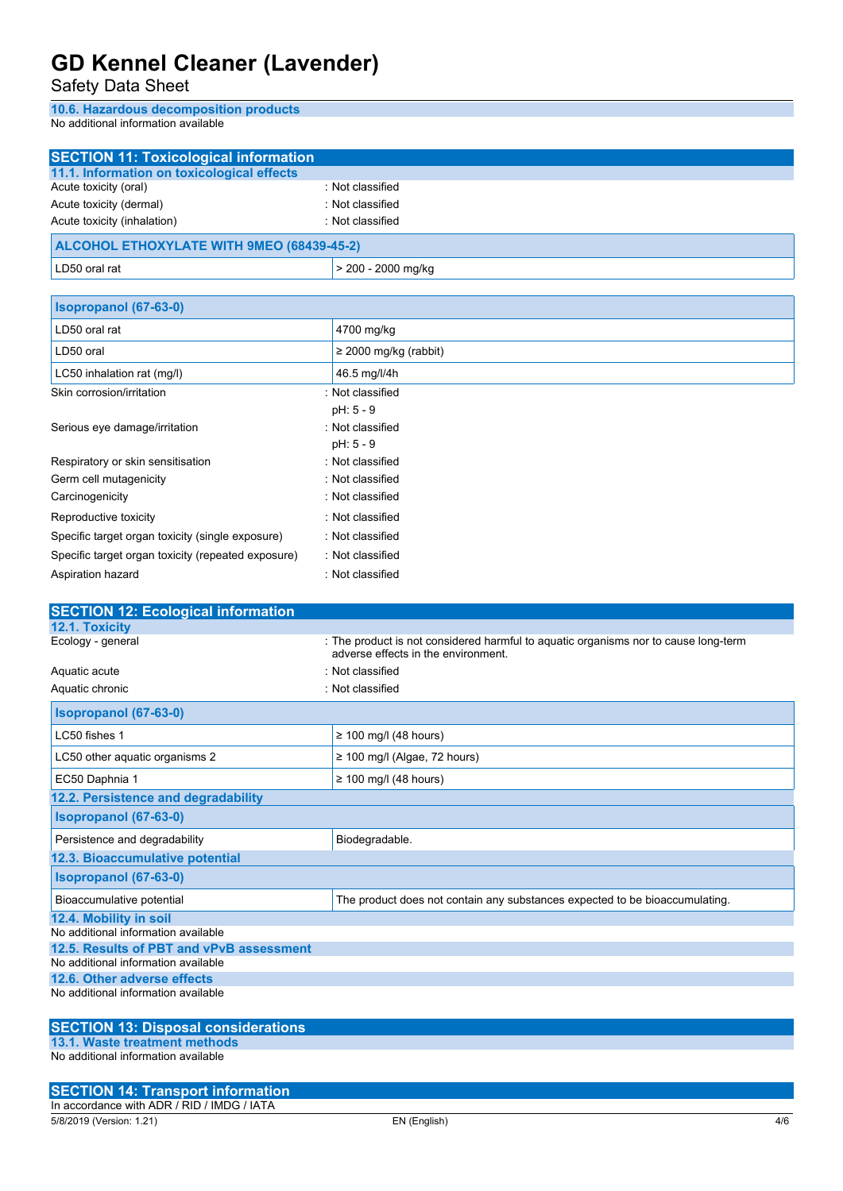Safety Data Sheet

**10.6. Hazardous decomposition products**

No additional information available

| <b>SECTION 11: Toxicological information</b>                                    |                                                                                                                            |
|---------------------------------------------------------------------------------|----------------------------------------------------------------------------------------------------------------------------|
| 11.1. Information on toxicological effects                                      |                                                                                                                            |
| Acute toxicity (oral)                                                           | : Not classified                                                                                                           |
| Acute toxicity (dermal)                                                         | : Not classified                                                                                                           |
| Acute toxicity (inhalation)                                                     | : Not classified                                                                                                           |
| <b>ALCOHOL ETHOXYLATE WITH 9MEO (68439-45-2)</b>                                |                                                                                                                            |
| LD50 oral rat                                                                   | > 200 - 2000 mg/kg                                                                                                         |
| Isopropanol (67-63-0)                                                           |                                                                                                                            |
| LD50 oral rat                                                                   | 4700 mg/kg                                                                                                                 |
| LD50 oral                                                                       | ≥ 2000 mg/kg (rabbit)                                                                                                      |
| LC50 inhalation rat (mg/l)                                                      | 46.5 mg/l/4h                                                                                                               |
| Skin corrosion/irritation                                                       | : Not classified                                                                                                           |
|                                                                                 | pH: 5 - 9                                                                                                                  |
| Serious eye damage/irritation                                                   | : Not classified                                                                                                           |
|                                                                                 | pH: 5 - 9                                                                                                                  |
| Respiratory or skin sensitisation                                               | : Not classified                                                                                                           |
| Germ cell mutagenicity                                                          | : Not classified                                                                                                           |
| Carcinogenicity                                                                 | : Not classified                                                                                                           |
| Reproductive toxicity                                                           | : Not classified                                                                                                           |
| Specific target organ toxicity (single exposure)                                | : Not classified                                                                                                           |
| Specific target organ toxicity (repeated exposure)                              | : Not classified                                                                                                           |
| Aspiration hazard                                                               | : Not classified                                                                                                           |
|                                                                                 |                                                                                                                            |
| <b>SECTION 12: Ecological information</b>                                       |                                                                                                                            |
| 12.1. Toxicity                                                                  |                                                                                                                            |
| Ecology - general                                                               |                                                                                                                            |
|                                                                                 | : The product is not considered harmful to aquatic organisms nor to cause long-term<br>adverse effects in the environment. |
| Aquatic acute                                                                   | : Not classified                                                                                                           |
| Aquatic chronic                                                                 | : Not classified                                                                                                           |
| Isopropanol (67-63-0)                                                           |                                                                                                                            |
| LC50 fishes 1                                                                   | $\geq$ 100 mg/l (48 hours)                                                                                                 |
| LC50 other aquatic organisms 2                                                  | $\geq$ 100 mg/l (Algae, 72 hours)                                                                                          |
| EC50 Daphnia 1                                                                  | $\geq$ 100 mg/l (48 hours)                                                                                                 |
| 12.2. Persistence and degradability                                             |                                                                                                                            |
| Isopropanol (67-63-0)                                                           |                                                                                                                            |
| Persistence and degradability                                                   | Biodegradable.                                                                                                             |
| 12.3. Bioaccumulative potential                                                 |                                                                                                                            |
| Isopropanol (67-63-0)                                                           |                                                                                                                            |
| Bioaccumulative potential                                                       | The product does not contain any substances expected to be bioaccumulating.                                                |
| 12.4. Mobility in soil                                                          |                                                                                                                            |
| No additional information available                                             |                                                                                                                            |
| 12.5. Results of PBT and vPvB assessment<br>No additional information available |                                                                                                                            |
| 12.6. Other adverse effects                                                     |                                                                                                                            |
| No additional information available                                             |                                                                                                                            |
|                                                                                 |                                                                                                                            |
| <b>SECTION 13: Disposal considerations</b><br>13.1. Waste treatment methods     |                                                                                                                            |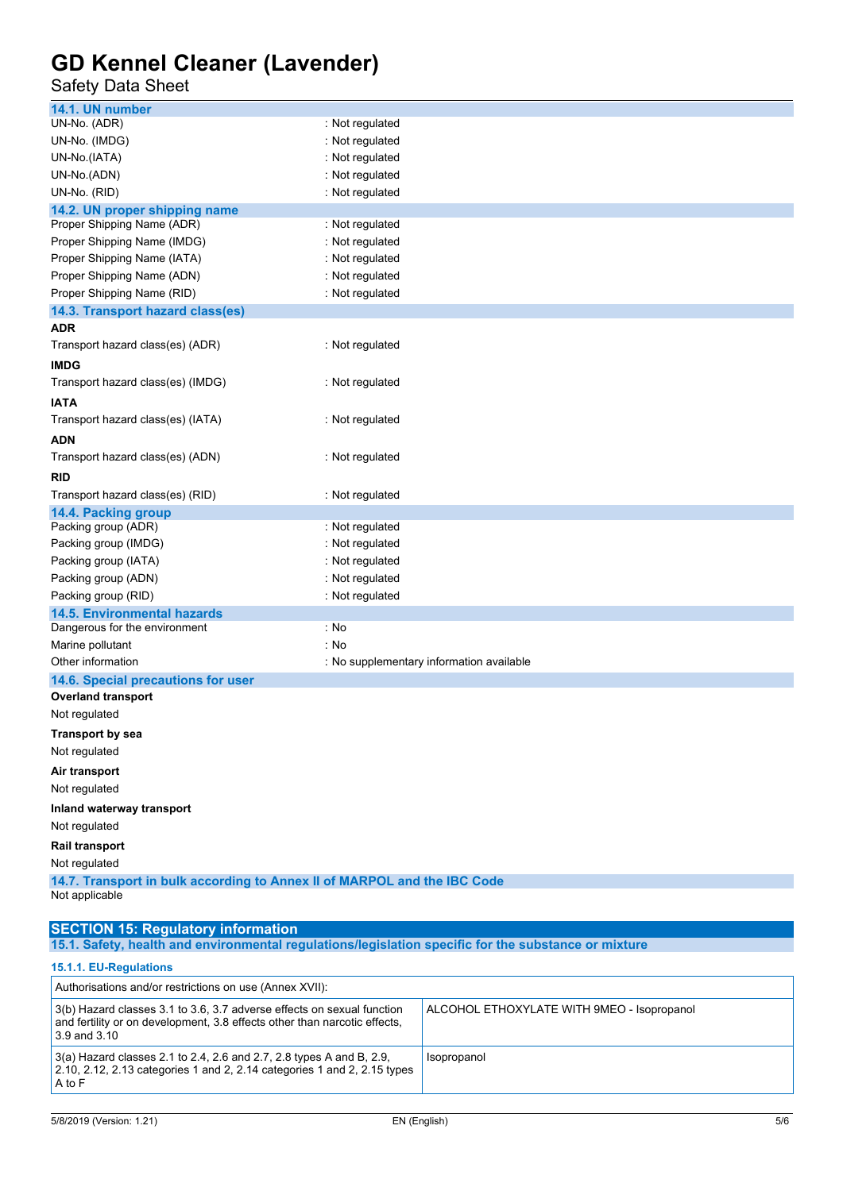### Safety Data Sheet

| 14.1. UN number                                                          |                                          |  |
|--------------------------------------------------------------------------|------------------------------------------|--|
| UN-No. (ADR)                                                             | : Not regulated                          |  |
| UN-No. (IMDG)                                                            | : Not regulated                          |  |
| UN-No.(IATA)                                                             | : Not regulated                          |  |
| UN-No.(ADN)                                                              | : Not regulated                          |  |
| UN-No. (RID)                                                             | : Not regulated                          |  |
| 14.2. UN proper shipping name                                            |                                          |  |
| Proper Shipping Name (ADR)                                               | : Not regulated                          |  |
| Proper Shipping Name (IMDG)                                              | : Not regulated                          |  |
| Proper Shipping Name (IATA)                                              | : Not regulated                          |  |
| Proper Shipping Name (ADN)                                               | : Not regulated                          |  |
| Proper Shipping Name (RID)                                               | : Not regulated                          |  |
| 14.3. Transport hazard class(es)                                         |                                          |  |
| ADR                                                                      |                                          |  |
| Transport hazard class(es) (ADR)                                         | : Not regulated                          |  |
| <b>IMDG</b>                                                              |                                          |  |
| Transport hazard class(es) (IMDG)                                        | : Not regulated                          |  |
| <b>IATA</b>                                                              |                                          |  |
| Transport hazard class(es) (IATA)                                        | : Not regulated                          |  |
| ADN                                                                      |                                          |  |
| Transport hazard class(es) (ADN)                                         | : Not regulated                          |  |
| RID                                                                      |                                          |  |
| Transport hazard class(es) (RID)                                         | : Not regulated                          |  |
| 14.4. Packing group                                                      |                                          |  |
| Packing group (ADR)                                                      | : Not regulated                          |  |
| Packing group (IMDG)                                                     | : Not regulated                          |  |
| Packing group (IATA)                                                     | : Not regulated                          |  |
| Packing group (ADN)                                                      | : Not regulated                          |  |
| Packing group (RID)                                                      | : Not regulated                          |  |
| <b>14.5. Environmental hazards</b>                                       |                                          |  |
| Dangerous for the environment                                            | : No                                     |  |
| Marine pollutant                                                         | : No                                     |  |
| Other information                                                        | : No supplementary information available |  |
| 14.6. Special precautions for user                                       |                                          |  |
| <b>Overland transport</b>                                                |                                          |  |
| Not regulated                                                            |                                          |  |
| <b>Transport by sea</b>                                                  |                                          |  |
| Not regulated                                                            |                                          |  |
| Air transport                                                            |                                          |  |
| Not regulated                                                            |                                          |  |
| Inland waterway transport                                                |                                          |  |
| Not regulated                                                            |                                          |  |
| Rail transport                                                           |                                          |  |
| Not regulated                                                            |                                          |  |
| 14.7. Transport in bulk according to Annex II of MARPOL and the IBC Code |                                          |  |
| Not applicable                                                           |                                          |  |
|                                                                          |                                          |  |

#### **SECTION 15: Regulatory information**

**15.1. Safety, health and environmental regulations/legislation specific for the substance or mixture**

#### **15.1.1. EU-Regulations**

| Authorisations and/or restrictions on use (Annex XVII):                                                                                                                 |                                            |  |
|-------------------------------------------------------------------------------------------------------------------------------------------------------------------------|--------------------------------------------|--|
| 3(b) Hazard classes 3.1 to 3.6, 3.7 adverse effects on sexual function<br>and fertility or on development, 3.8 effects other than narcotic effects,<br>$3.9$ and $3.10$ | ALCOHOL ETHOXYLATE WITH 9MEO - Isopropanol |  |
| $3(a)$ Hazard classes 2.1 to 2.4, 2.6 and 2.7, 2.8 types A and B, 2.9,<br>2.10, 2.12, 2.13 categories 1 and 2, 2.14 categories 1 and 2, 2.15 types<br>A to F            | Isopropanol                                |  |